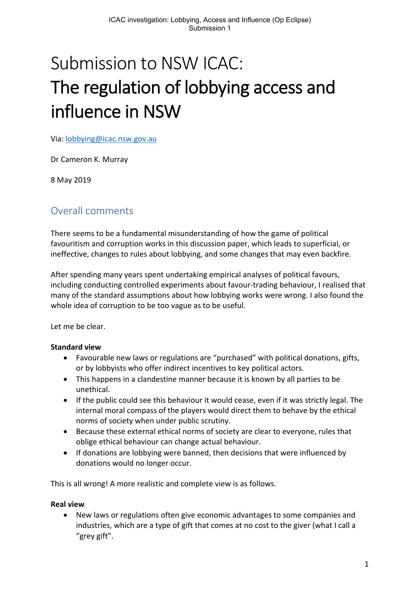# Submission to NSW ICAC: The regulation of lobbying access and influence in NSW

Via: lobbying@icac.nsw.gov.au

Dr Cameron K. Murray

8 May 2019

# Overall comments

There seems to be a fundamental misunderstanding of how the game of political favouritism and corruption works in this discussion paper, which leads to superficial, or ineffective, changes to rules about lobbying, and some changes that may even backfire.

After spending many years spent undertaking empirical analyses of political favours, including conducting controlled experiments about favour-trading behaviour, I realised that many of the standard assumptions about how lobbying works were wrong. I also found the whole idea of corruption to be too vague as to be useful.

Let me be clear.

#### **Standard view**

- Favourable new laws or regulations are "purchased" with political donations, gifts, or by lobbyists who offer indirect incentives to key political actors.
- This happens in a clandestine manner because it is known by all parties to be unethical.
- If the public could see this behaviour it would cease, even if it was strictly legal. The internal moral compass of the players would direct them to behave by the ethical norms of society when under public scrutiny.
- Because these external ethical norms of society are clear to everyone, rules that oblige ethical behaviour can change actual behaviour.
- If donations are lobbying were banned, then decisions that were influenced by donations would no longer occur.

This is all wrong! A more realistic and complete view is as follows.

#### **Real view**

• New laws or regulations often give economic advantages to some companies and industries, which are a type of gift that comes at no cost to the giver (what I call a "grey gift".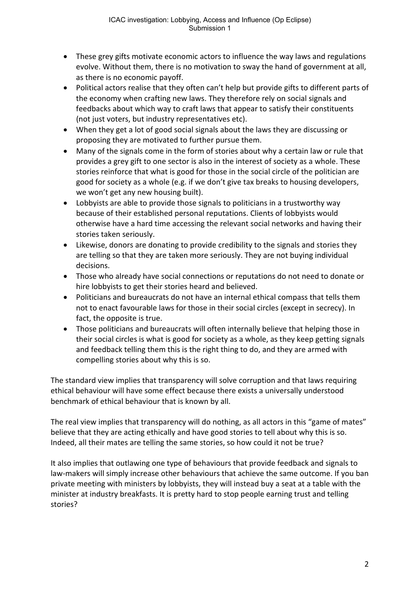- These grey gifts motivate economic actors to influence the way laws and regulations evolve. Without them, there is no motivation to sway the hand of government at all, as there is no economic payoff.
- Political actors realise that they often can't help but provide gifts to different parts of the economy when crafting new laws. They therefore rely on social signals and feedbacks about which way to craft laws that appear to satisfy their constituents (not just voters, but industry representatives etc).
- When they get a lot of good social signals about the laws they are discussing or proposing they are motivated to further pursue them.
- Many of the signals come in the form of stories about why a certain law or rule that provides a grey gift to one sector is also in the interest of society as a whole. These stories reinforce that what is good for those in the social circle of the politician are good for society as a whole (e.g. if we don't give tax breaks to housing developers, we won't get any new housing built).
- Lobbyists are able to provide those signals to politicians in a trustworthy way because of their established personal reputations. Clients of lobbyists would otherwise have a hard time accessing the relevant social networks and having their stories taken seriously.
- Likewise, donors are donating to provide credibility to the signals and stories they are telling so that they are taken more seriously. They are not buying individual decisions.
- Those who already have social connections or reputations do not need to donate or hire lobbyists to get their stories heard and believed.
- Politicians and bureaucrats do not have an internal ethical compass that tells them not to enact favourable laws for those in their social circles (except in secrecy). In fact, the opposite is true.
- Those politicians and bureaucrats will often internally believe that helping those in their social circles is what is good for society as a whole, as they keep getting signals and feedback telling them this is the right thing to do, and they are armed with compelling stories about why this is so.

The standard view implies that transparency will solve corruption and that laws requiring ethical behaviour will have some effect because there exists a universally understood benchmark of ethical behaviour that is known by all.

The real view implies that transparency will do nothing, as all actors in this "game of mates" believe that they are acting ethically and have good stories to tell about why this is so. Indeed, all their mates are telling the same stories, so how could it not be true?

It also implies that outlawing one type of behaviours that provide feedback and signals to law-makers will simply increase other behaviours that achieve the same outcome. If you ban private meeting with ministers by lobbyists, they will instead buy a seat at a table with the minister at industry breakfasts. It is pretty hard to stop people earning trust and telling stories?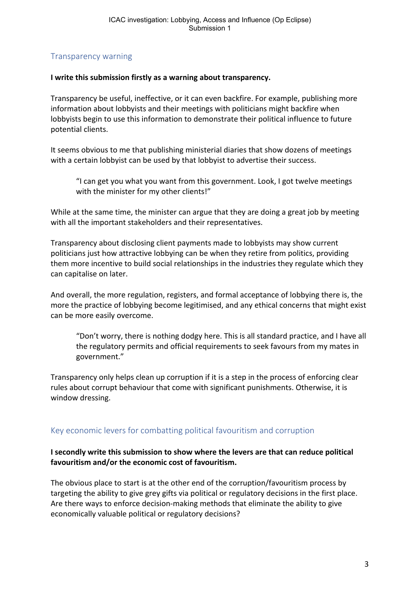# Transparency warning

#### **I write this submission firstly as a warning about transparency.**

Transparency be useful, ineffective, or it can even backfire. For example, publishing more information about lobbyists and their meetings with politicians might backfire when lobbyists begin to use this information to demonstrate their political influence to future potential clients.

It seems obvious to me that publishing ministerial diaries that show dozens of meetings with a certain lobbyist can be used by that lobbyist to advertise their success.

"I can get you what you want from this government. Look, I got twelve meetings with the minister for my other clients!"

While at the same time, the minister can argue that they are doing a great job by meeting with all the important stakeholders and their representatives.

Transparency about disclosing client payments made to lobbyists may show current politicians just how attractive lobbying can be when they retire from politics, providing them more incentive to build social relationships in the industries they regulate which they can capitalise on later.

And overall, the more regulation, registers, and formal acceptance of lobbying there is, the more the practice of lobbying become legitimised, and any ethical concerns that might exist can be more easily overcome.

"Don't worry, there is nothing dodgy here. This is all standard practice, and I have all the regulatory permits and official requirements to seek favours from my mates in government."

Transparency only helps clean up corruption if it is a step in the process of enforcing clear rules about corrupt behaviour that come with significant punishments. Otherwise, it is window dressing.

# Key economic levers for combatting political favouritism and corruption

#### **I secondly write this submission to show where the levers are that can reduce political favouritism and/or the economic cost of favouritism.**

The obvious place to start is at the other end of the corruption/favouritism process by targeting the ability to give grey gifts via political or regulatory decisions in the first place. Are there ways to enforce decision-making methods that eliminate the ability to give economically valuable political or regulatory decisions?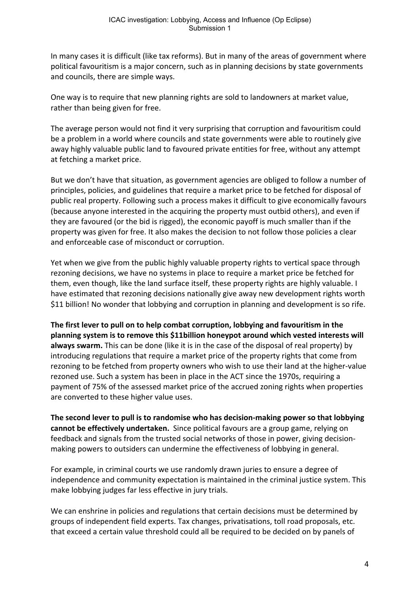In many cases it is difficult (like tax reforms). But in many of the areas of government where political favouritism is a major concern, such as in planning decisions by state governments and councils, there are simple ways.

One way is to require that new planning rights are sold to landowners at market value, rather than being given for free.

The average person would not find it very surprising that corruption and favouritism could be a problem in a world where councils and state governments were able to routinely give away highly valuable public land to favoured private entities for free, without any attempt at fetching a market price.

But we don't have that situation, as government agencies are obliged to follow a number of principles, policies, and guidelines that require a market price to be fetched for disposal of public real property. Following such a process makes it difficult to give economically favours (because anyone interested in the acquiring the property must outbid others), and even if they are favoured (or the bid is rigged), the economic payoff is much smaller than if the property was given for free. It also makes the decision to not follow those policies a clear and enforceable case of misconduct or corruption.

Yet when we give from the public highly valuable property rights to vertical space through rezoning decisions, we have no systems in place to require a market price be fetched for them, even though, like the land surface itself, these property rights are highly valuable. I have estimated that rezoning decisions nationally give away new development rights worth \$11 billion! No wonder that lobbying and corruption in planning and development is so rife.

**The first lever to pull on to help combat corruption, lobbying and favouritism in the planning system is to remove this \$11billion honeypot around which vested interests will always swarm.** This can be done (like it is in the case of the disposal of real property) by introducing regulations that require a market price of the property rights that come from rezoning to be fetched from property owners who wish to use their land at the higher-value rezoned use. Such a system has been in place in the ACT since the 1970s, requiring a payment of 75% of the assessed market price of the accrued zoning rights when properties are converted to these higher value uses.

**The second lever to pull is to randomise who has decision-making power so that lobbying cannot be effectively undertaken.** Since political favours are a group game, relying on feedback and signals from the trusted social networks of those in power, giving decisionmaking powers to outsiders can undermine the effectiveness of lobbying in general.

For example, in criminal courts we use randomly drawn juries to ensure a degree of independence and community expectation is maintained in the criminal justice system. This make lobbying judges far less effective in jury trials.

We can enshrine in policies and regulations that certain decisions must be determined by groups of independent field experts. Tax changes, privatisations, toll road proposals, etc. that exceed a certain value threshold could all be required to be decided on by panels of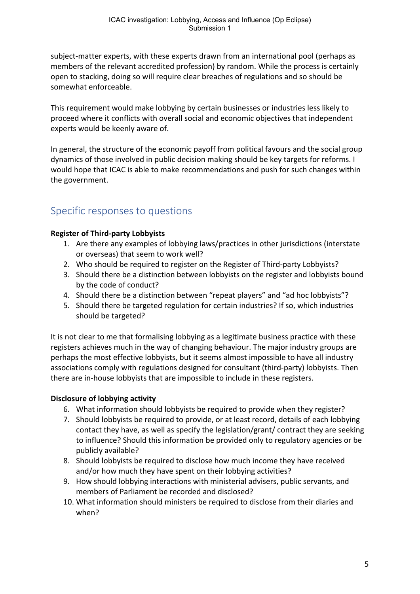subject-matter experts, with these experts drawn from an international pool (perhaps as members of the relevant accredited profession) by random. While the process is certainly open to stacking, doing so will require clear breaches of regulations and so should be somewhat enforceable.

This requirement would make lobbying by certain businesses or industries less likely to proceed where it conflicts with overall social and economic objectives that independent experts would be keenly aware of.

In general, the structure of the economic payoff from political favours and the social group dynamics of those involved in public decision making should be key targets for reforms. I would hope that ICAC is able to make recommendations and push for such changes within the government.

# Specific responses to questions

# **Register of Third-party Lobbyists**

- 1. Are there any examples of lobbying laws/practices in other jurisdictions (interstate or overseas) that seem to work well?
- 2. Who should be required to register on the Register of Third-party Lobbyists?
- 3. Should there be a distinction between lobbyists on the register and lobbyists bound by the code of conduct?
- 4. Should there be a distinction between "repeat players" and "ad hoc lobbyists"?
- 5. Should there be targeted regulation for certain industries? If so, which industries should be targeted?

It is not clear to me that formalising lobbying as a legitimate business practice with these registers achieves much in the way of changing behaviour. The major industry groups are perhaps the most effective lobbyists, but it seems almost impossible to have all industry associations comply with regulations designed for consultant (third-party) lobbyists. Then there are in-house lobbyists that are impossible to include in these registers.

# **Disclosure of lobbying activity**

- 6. What information should lobbyists be required to provide when they register?
- 7. Should lobbyists be required to provide, or at least record, details of each lobbying contact they have, as well as specify the legislation/grant/ contract they are seeking to influence? Should this information be provided only to regulatory agencies or be publicly available?
- 8. Should lobbyists be required to disclose how much income they have received and/or how much they have spent on their lobbying activities?
- 9. How should lobbying interactions with ministerial advisers, public servants, and members of Parliament be recorded and disclosed?
- 10. What information should ministers be required to disclose from their diaries and when?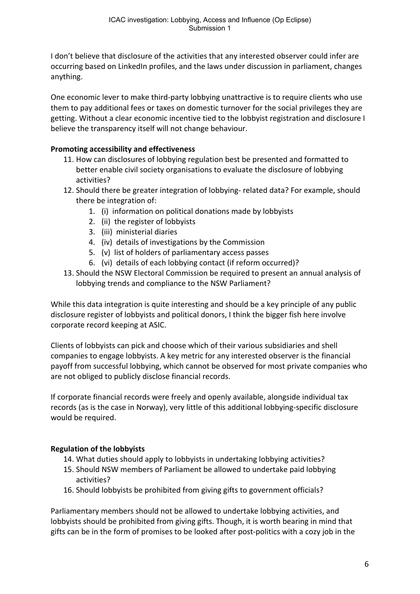I don't believe that disclosure of the activities that any interested observer could infer are occurring based on LinkedIn profiles, and the laws under discussion in parliament, changes anything.

One economic lever to make third-party lobbying unattractive is to require clients who use them to pay additional fees or taxes on domestic turnover for the social privileges they are getting. Without a clear economic incentive tied to the lobbyist registration and disclosure I believe the transparency itself will not change behaviour.

# **Promoting accessibility and effectiveness**

- 11. How can disclosures of lobbying regulation best be presented and formatted to better enable civil society organisations to evaluate the disclosure of lobbying activities?
- 12. Should there be greater integration of lobbying- related data? For example, should there be integration of:
	- 1. (i) information on political donations made by lobbyists
	- 2. (ii) the register of lobbyists
	- 3. (iii) ministerial diaries
	- 4. (iv) details of investigations by the Commission
	- 5. (v) list of holders of parliamentary access passes
	- 6. (vi) details of each lobbying contact (if reform occurred)?
- 13. Should the NSW Electoral Commission be required to present an annual analysis of lobbying trends and compliance to the NSW Parliament?

While this data integration is quite interesting and should be a key principle of any public disclosure register of lobbyists and political donors, I think the bigger fish here involve corporate record keeping at ASIC.

Clients of lobbyists can pick and choose which of their various subsidiaries and shell companies to engage lobbyists. A key metric for any interested observer is the financial payoff from successful lobbying, which cannot be observed for most private companies who are not obliged to publicly disclose financial records.

If corporate financial records were freely and openly available, alongside individual tax records (as is the case in Norway), very little of this additional lobbying-specific disclosure would be required.

# **Regulation of the lobbyists**

- 14. What duties should apply to lobbyists in undertaking lobbying activities?
- 15. Should NSW members of Parliament be allowed to undertake paid lobbying activities?
- 16. Should lobbyists be prohibited from giving gifts to government officials?

Parliamentary members should not be allowed to undertake lobbying activities, and lobbyists should be prohibited from giving gifts. Though, it is worth bearing in mind that gifts can be in the form of promises to be looked after post-politics with a cozy job in the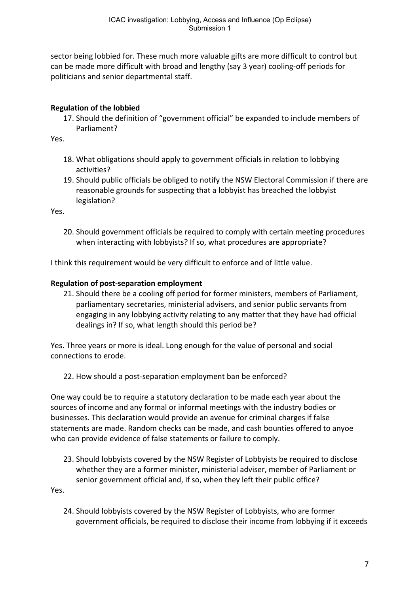sector being lobbied for. These much more valuable gifts are more difficult to control but can be made more difficult with broad and lengthy (say 3 year) cooling-off periods for politicians and senior departmental staff.

# **Regulation of the lobbied**

17. Should the definition of "government official" be expanded to include members of Parliament?

Yes.

- 18. What obligations should apply to government officials in relation to lobbying activities?
- 19. Should public officials be obliged to notify the NSW Electoral Commission if there are reasonable grounds for suspecting that a lobbyist has breached the lobbyist legislation?

Yes.

20. Should government officials be required to comply with certain meeting procedures when interacting with lobbyists? If so, what procedures are appropriate?

I think this requirement would be very difficult to enforce and of little value.

# **Regulation of post-separation employment**

21. Should there be a cooling off period for former ministers, members of Parliament, parliamentary secretaries, ministerial advisers, and senior public servants from engaging in any lobbying activity relating to any matter that they have had official dealings in? If so, what length should this period be?

Yes. Three years or more is ideal. Long enough for the value of personal and social connections to erode.

22. How should a post-separation employment ban be enforced?

One way could be to require a statutory declaration to be made each year about the sources of income and any formal or informal meetings with the industry bodies or businesses. This declaration would provide an avenue for criminal charges if false statements are made. Random checks can be made, and cash bounties offered to anyoe who can provide evidence of false statements or failure to comply.

23. Should lobbyists covered by the NSW Register of Lobbyists be required to disclose whether they are a former minister, ministerial adviser, member of Parliament or senior government official and, if so, when they left their public office?

Yes.

24. Should lobbyists covered by the NSW Register of Lobbyists, who are former government officials, be required to disclose their income from lobbying if it exceeds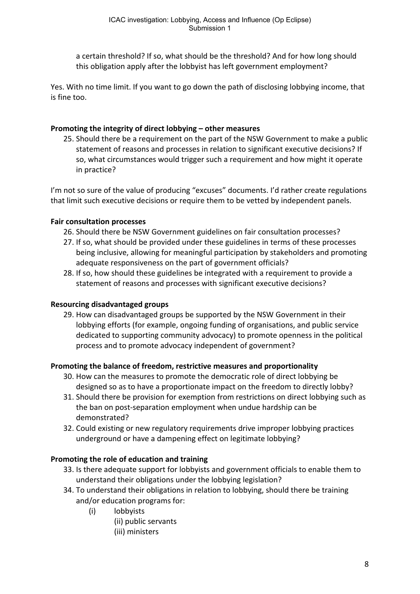a certain threshold? If so, what should be the threshold? And for how long should this obligation apply after the lobbyist has left government employment?

Yes. With no time limit. If you want to go down the path of disclosing lobbying income, that is fine too.

#### **Promoting the integrity of direct lobbying – other measures**

25. Should there be a requirement on the part of the NSW Government to make a public statement of reasons and processes in relation to significant executive decisions? If so, what circumstances would trigger such a requirement and how might it operate in practice?

I'm not so sure of the value of producing "excuses" documents. I'd rather create regulations that limit such executive decisions or require them to be vetted by independent panels.

#### **Fair consultation processes**

- 26. Should there be NSW Government guidelines on fair consultation processes?
- 27. If so, what should be provided under these guidelines in terms of these processes being inclusive, allowing for meaningful participation by stakeholders and promoting adequate responsiveness on the part of government officials?
- 28. If so, how should these guidelines be integrated with a requirement to provide a statement of reasons and processes with significant executive decisions?

#### **Resourcing disadvantaged groups**

29. How can disadvantaged groups be supported by the NSW Government in their lobbying efforts (for example, ongoing funding of organisations, and public service dedicated to supporting community advocacy) to promote openness in the political process and to promote advocacy independent of government?

#### **Promoting the balance of freedom, restrictive measures and proportionality**

- 30. How can the measures to promote the democratic role of direct lobbying be designed so as to have a proportionate impact on the freedom to directly lobby?
- 31. Should there be provision for exemption from restrictions on direct lobbying such as the ban on post-separation employment when undue hardship can be demonstrated?
- 32. Could existing or new regulatory requirements drive improper lobbying practices underground or have a dampening effect on legitimate lobbying?

# **Promoting the role of education and training**

- 33. Is there adequate support for lobbyists and government officials to enable them to understand their obligations under the lobbying legislation?
- 34. To understand their obligations in relation to lobbying, should there be training and/or education programs for:
	- (i) lobbyists
		- (ii) public servants
		- (iii) ministers